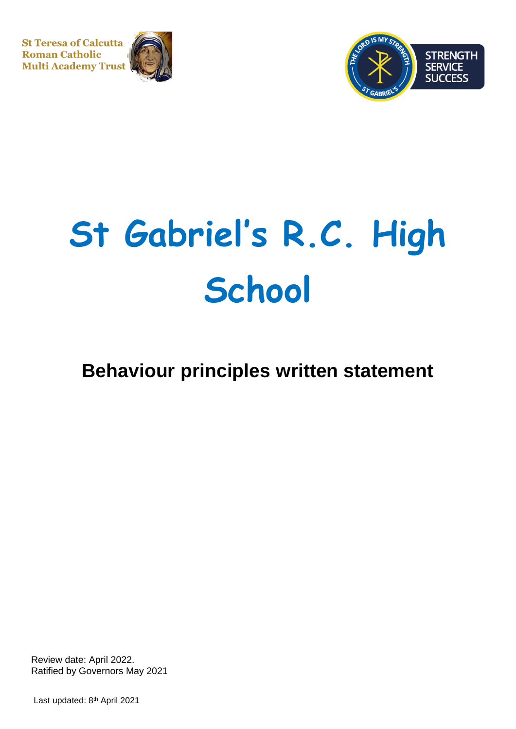**St Teresa of Calcutta Roman Catholic Multi Academy Trust** 





## **St Gabriel's R.C. High School**

**Behaviour principles written statement**

Review date: April 2022. Ratified by Governors May 2021

Last updated: 8<sup>th</sup> April 2021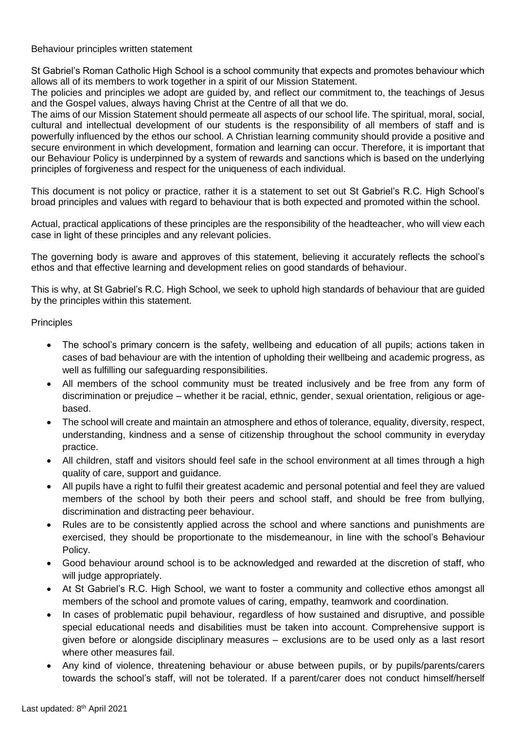Behaviour principles written statement

St Gabriel's Roman Catholic High School is a school community that expects and promotes behaviour which allows all of its members to work together in a spirit of our Mission Statement.

The policies and principles we adopt are guided by, and reflect our commitment to, the teachings of Jesus and the Gospel values, always having Christ at the Centre of all that we do.

The aims of our Mission Statement should permeate all aspects of our school life. The spiritual, moral, social, cultural and intellectual development of our students is the responsibility of all members of staff and is powerfully influenced by the ethos our school. A Christian learning community should provide a positive and secure environment in which development, formation and learning can occur. Therefore, it is important that our Behaviour Policy is underpinned by a system of rewards and sanctions which is based on the underlying principles of forgiveness and respect for the uniqueness of each individual.

This document is not policy or practice, rather it is a statement to set out St Gabriel's R.C. High School's broad principles and values with regard to behaviour that is both expected and promoted within the school.

Actual, practical applications of these principles are the responsibility of the headteacher, who will view each case in light of these principles and any relevant policies.

The governing body is aware and approves of this statement, believing it accurately reflects the school's ethos and that effective learning and development relies on good standards of behaviour.

This is why, at St Gabriel's R.C. High School, we seek to uphold high standards of behaviour that are guided by the principles within this statement.

**Principles** 

- The school's primary concern is the safety, wellbeing and education of all pupils; actions taken in cases of bad behaviour are with the intention of upholding their wellbeing and academic progress, as well as fulfilling our safeguarding responsibilities.
- All members of the school community must be treated inclusively and be free from any form of discrimination or prejudice – whether it be racial, ethnic, gender, sexual orientation, religious or agebased.
- The school will create and maintain an atmosphere and ethos of tolerance, equality, diversity, respect, understanding, kindness and a sense of citizenship throughout the school community in everyday practice.
- All children, staff and visitors should feel safe in the school environment at all times through a high quality of care, support and guidance.
- All pupils have a right to fulfil their greatest academic and personal potential and feel they are valued members of the school by both their peers and school staff, and should be free from bullying, discrimination and distracting peer behaviour.
- Rules are to be consistently applied across the school and where sanctions and punishments are exercised, they should be proportionate to the misdemeanour, in line with the school's Behaviour Policy.
- Good behaviour around school is to be acknowledged and rewarded at the discretion of staff, who will judge appropriately.
- At St Gabriel's R.C. High School, we want to foster a community and collective ethos amongst all members of the school and promote values of caring, empathy, teamwork and coordination.
- In cases of problematic pupil behaviour, regardless of how sustained and disruptive, and possible special educational needs and disabilities must be taken into account. Comprehensive support is given before or alongside disciplinary measures – exclusions are to be used only as a last resort where other measures fail.
- Any kind of violence, threatening behaviour or abuse between pupils, or by pupils/parents/carers towards the school's staff, will not be tolerated. If a parent/carer does not conduct himself/herself